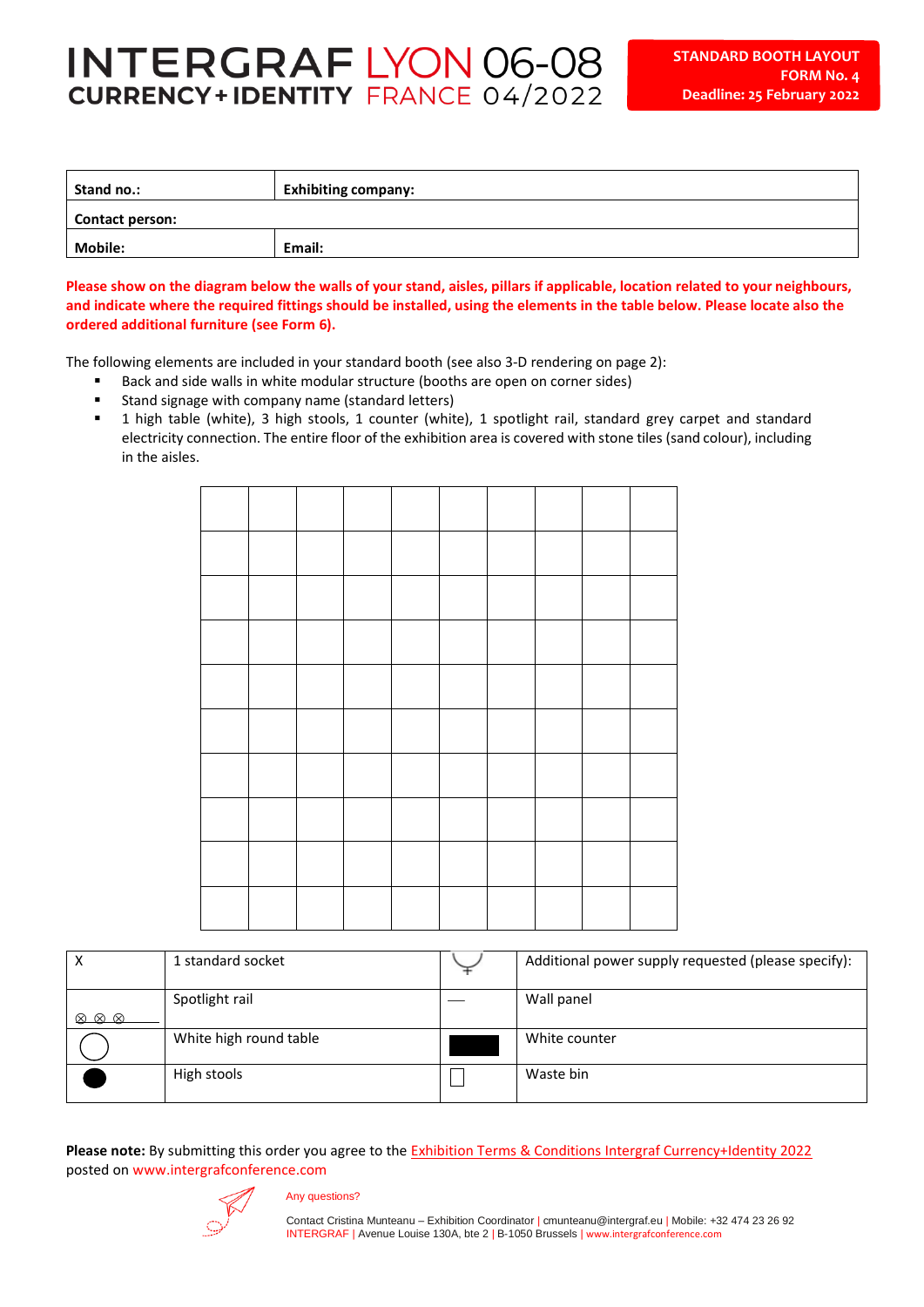## **INTERGRAF LYON 06-08 CURRENCY+IDENTITY FRANCE 04/2022**

| Stand no.:             | <b>Exhibiting company:</b> |  |  |  |  |  |
|------------------------|----------------------------|--|--|--|--|--|
| <b>Contact person:</b> |                            |  |  |  |  |  |
| <b>Mobile:</b>         | Email:                     |  |  |  |  |  |

**Please show on the diagram below the walls of your stand, aisles, pillars if applicable, location related to your neighbours, and indicate where the required fittings should be installed, using the elements in the table below. Please locate also the ordered additional furniture (see Form 6).**

The following elements are included in your standard booth (see also 3-D rendering on page 2):

- Back and side walls in white modular structure (booths are open on corner sides)
- Stand signage with company name (standard letters)
- 1 high table (white), 3 high stools, 1 counter (white), 1 spotlight rail, standard grey carpet and standard electricity connection. The entire floor of the exhibition area is covered with stone tiles (sand colour), including in the aisles.

| $\boldsymbol{\mathsf{x}}$          | 1 standard socket      | Additional power supply requested (please specify): |
|------------------------------------|------------------------|-----------------------------------------------------|
| $\bigotimes \bigotimes \bigotimes$ | Spotlight rail         | Wall panel                                          |
|                                    | White high round table | White counter                                       |
|                                    | High stools            | Waste bin                                           |

**Please note:** By submitting this order you agree to the [Exhibition Terms & Conditions Intergraf](https://www.intergrafconference.com/dwl/sp22-exh-terms-conditions.pdf) Currency+Identity 2022 posted on www.intergrafconference.com



## Any questions?